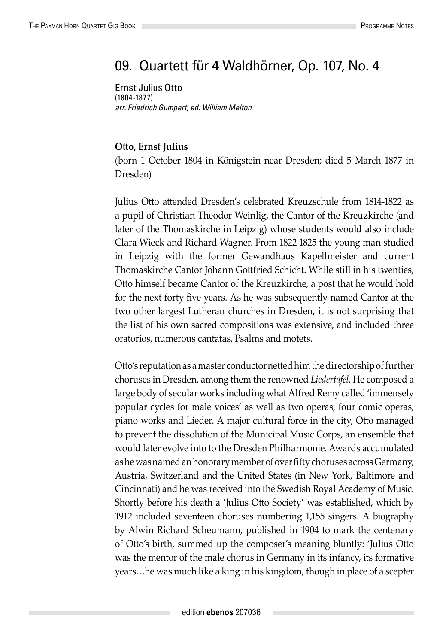## 09. Quartett für 4 Waldhörner, Op. 107, No. 4

Ernst Julius Otto (1804-1877) *arr. Friedrich Gumpert, ed. William Melton*

## **Otto, Ernst Julius**

(born 1 October 1804 in Königstein near Dresden; died 5 March 1877 in Dresden)

Julius Otto attended Dresden's celebrated Kreuzschule from 1814-1822 as a pupil of Christian Theodor Weinlig, the Cantor of the Kreuzkirche (and later of the Thomaskirche in Leipzig) whose students would also include Clara Wieck and Richard Wagner. From 1822-1825 the young man studied in Leipzig with the former Gewandhaus Kapellmeister and current Thomaskirche Cantor Johann Gottfried Schicht. While still in his twenties, Otto himself became Cantor of the Kreuzkirche, a post that he would hold for the next forty-five years. As he was subsequently named Cantor at the two other largest Lutheran churches in Dresden, it is not surprising that the list of his own sacred compositions was extensive, and included three oratorios, numerous cantatas, Psalms and motets.

Otto's reputation as a master conductor netted him the directorship of further choruses in Dresden, among them the renowned *Liedertafel*. He composed a large body of secular works including what Alfred Remy called 'immensely popular cycles for male voices' as well as two operas, four comic operas, piano works and Lieder. A major cultural force in the city, Otto managed to prevent the dissolution of the Municipal Music Corps, an ensemble that would later evolve into to the Dresden Philharmonie. Awards accumulated as he was named an honorary member of over fifty choruses across Germany, Austria, Switzerland and the United States (in New York, Baltimore and Cincinnati) and he was received into the Swedish Royal Academy of Music. Shortly before his death a 'Julius Otto Society' was established, which by 1912 included seventeen choruses numbering 1,155 singers. A biography by Alwin Richard Scheumann, published in 1904 to mark the centenary of Otto's birth, summed up the composer's meaning bluntly: 'Julius Otto was the mentor of the male chorus in Germany in its infancy, its formative years…he was much like a king in his kingdom, though in place of a scepter